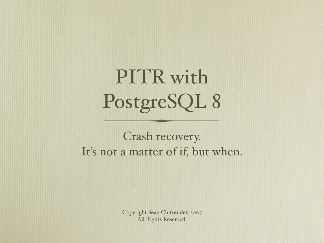## PITR with PostgreSQL 8

Crash recovery. It's not a matter of if, but when.

> Copyright Sean Chittenden 2005 All Rights Reserved.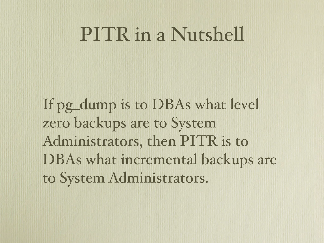#### PITR in a Nutshell

If pg dump is to DBAs what level zero backups are to System Administrators, then PITR is to DBAs what incremental backups are to System Administrators.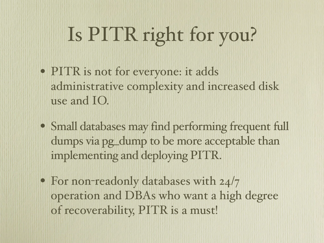# Is PITR right for you?

- PITR is not for everyone: it adds administrative complexity and increased disk use and IO.
- Small databases may find performing frequent full dumps via pg\_dump to be more acceptable than implementing and deploying PITR.
- For non-readonly databases with 24/7 operation and DBAs who want a high degree of recoverability, PITR is a must!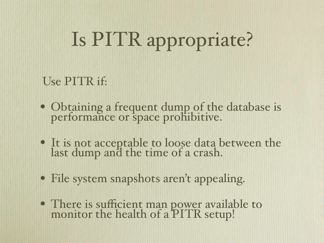# Is PITR appropriate?

#### Use PITR if:

- Obtaining a frequent dump of the database is performance or space prohibitive.
- It is not acceptable to loose data between the last dump and the time of a crash.
- File system snapshots aren't appealing.
- There is sufficient man power available to monitor the health of a PITR setup!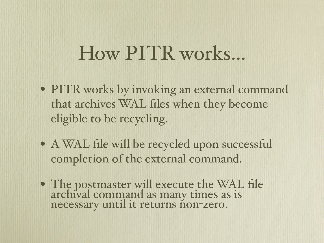#### How PITR works...

- PITR works by invoking an external command that archives WAL files when they become eligible to be recycling.
- A WAL file will be recycled upon successful completion of the external command.
- The postmaster will execute the WAL file archival command as many times as is necessary until it returns non-zero.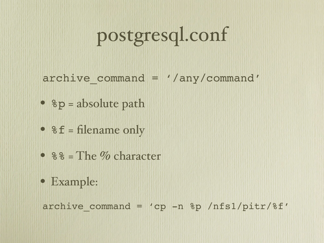## postgresql.conf

archive command = '/any/command'

- $p = absolute path$
- $f = filename only$
- $88 =$ The % character
- Example:

archive command = 'cp  $-n$  %p /nfs1/pitr/%f'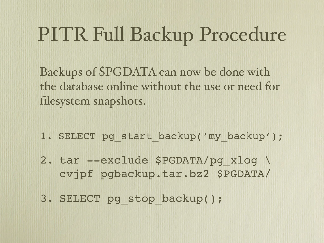## PITR Full Backup Procedure

Backups of \$PGDATA can now be done with the database online without the use or need for filesystem snapshots.

- 1. SELECT pg start backup('my backup');
- 2. tar --exclude \$PGDATA/pg\_xlog \ cvjpf pgbackup.tar.bz2 \$PGDATA/
- 3. SELECT pg\_stop\_backup();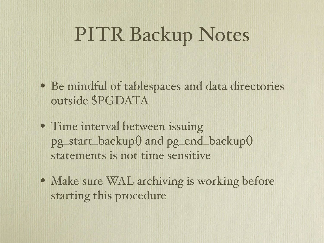#### PITR Backup Notes

- Be mindful of tablespaces and data directories outside \$PGDATA
- Time interval between issuing pg\_start\_backup() and pg\_end\_backup() statements is not time sensitive
- Make sure WAL archiving is working before starting this procedure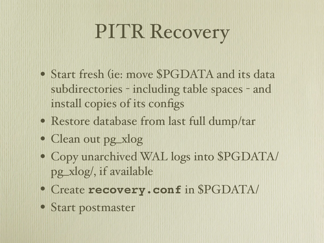## PITR Recovery

- Start fresh (ie: move \$PGDATA and its data subdirectories - including table spaces - and install copies of its configs
- Restore database from last full dump/tar
- Clean out pg\_xlog
- Copy unarchived WAL logs into \$PGDATA/ pg\_xlog/, if available
- Create **recovery.conf** in \$PGDATA/
- Start postmaster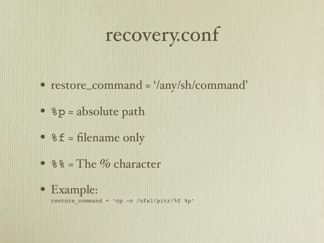## recovery.conf

- restore\_command = '/any/sh/command'
- $p = absolute path$
- $f = filename only$
- %% = The % character
- Example:

restore command = 'cp -n /nfs1/pitr/%f %p'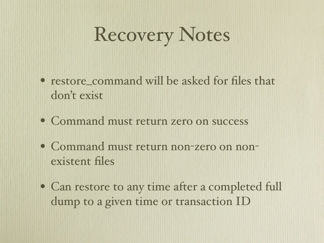## Recovery Notes

- restore command will be asked for files that don't exist
- Command must return zero on success
- Command must return non-zero on nonexistent files
- Can restore to any time after a completed full dump to a given time or transaction ID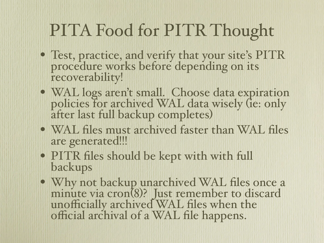#### PITA Food for PITR Thought

- Test, practice, and verify that your site's PITR procedure works before depending on its recoverability!
- WAL logs aren't small. Choose data expiration policies for archived WAL data wisely (ie: only after last full backup completes)
- WAL files must archived faster than WAL files are generated!!!
- PITR files should be kept with with full backups
- Why not backup unarchived WAL files once a minute via cron(8)? Just remember to discard unofficially archived WAL files when the official archival of a WAL file happens.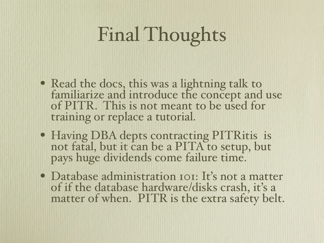## Final Thoughts

- Read the docs, this was a lightning talk to familiarize and introduce the concept and use of PITR. This is not meant to be used for training or replace a tutorial.
- Having DBA depts contracting PITRitis is not fatal, but it can be a PITA to setup, but pays huge dividends come failure time.
- Database administration IOI: It's not a matter of if the database hardware/disks crash, it's a matter of when. PITR is the extra safety belt.